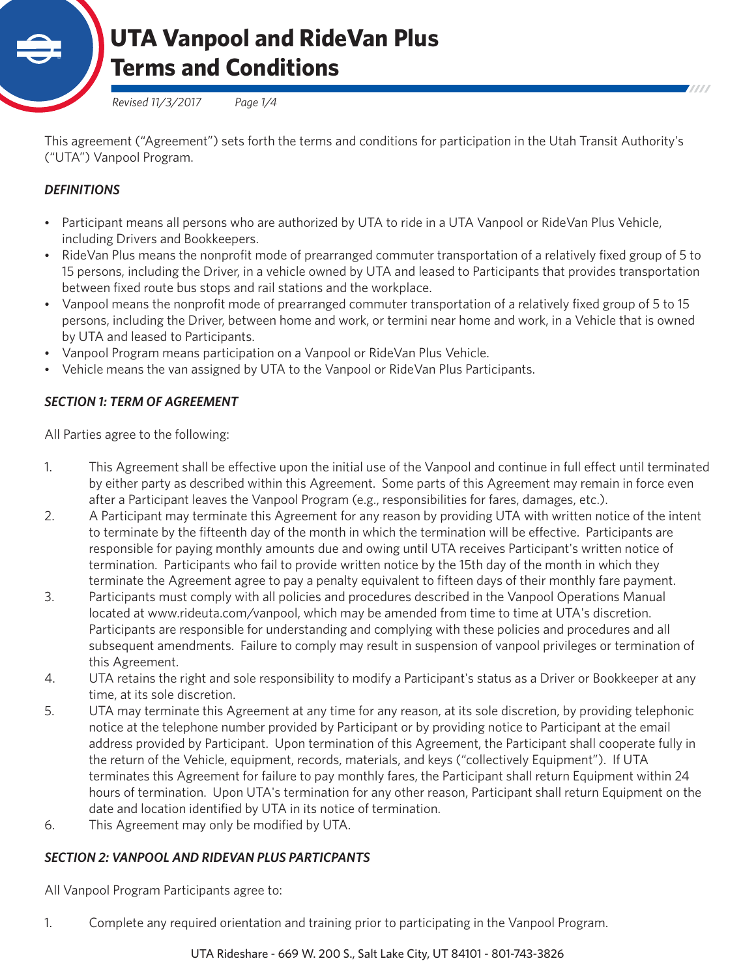

*Revised 11/3/2017 Page 1/4*

This agreement ("Agreement") sets forth the terms and conditions for participation in the Utah Transit Authority's ("UTA") Vanpool Program.

## *DEFINITIONS*

- Participant means all persons who are authorized by UTA to ride in a UTA Vanpool or RideVan Plus Vehicle, including Drivers and Bookkeepers.
- RideVan Plus means the nonprofit mode of prearranged commuter transportation of a relatively fixed group of 5 to 15 persons, including the Driver, in a vehicle owned by UTA and leased to Participants that provides transportation between fixed route bus stops and rail stations and the workplace.
- Vanpool means the nonprofit mode of prearranged commuter transportation of a relatively fixed group of 5 to 15 persons, including the Driver, between home and work, or termini near home and work, in a Vehicle that is owned by UTA and leased to Participants.
- Vanpool Program means participation on a Vanpool or RideVan Plus Vehicle.
- Vehicle means the van assigned by UTA to the Vanpool or RideVan Plus Participants.

## *SECTION 1: TERM OF AGREEMENT*

All Parties agree to the following:

- 1. This Agreement shall be effective upon the initial use of the Vanpool and continue in full effect until terminated by either party as described within this Agreement. Some parts of this Agreement may remain in force even after a Participant leaves the Vanpool Program (e.g., responsibilities for fares, damages, etc.).
- 2. A Participant may terminate this Agreement for any reason by providing UTA with written notice of the intent to terminate by the fifteenth day of the month in which the termination will be effective. Participants are responsible for paying monthly amounts due and owing until UTA receives Participant's written notice of termination. Participants who fail to provide written notice by the 15th day of the month in which they terminate the Agreement agree to pay a penalty equivalent to fifteen days of their monthly fare payment.
- 3. Participants must comply with all policies and procedures described in the Vanpool Operations Manual located at www.rideuta.com/vanpool, which may be amended from time to time at UTA's discretion. Participants are responsible for understanding and complying with these policies and procedures and all subsequent amendments. Failure to comply may result in suspension of vanpool privileges or termination of this Agreement.
- 4. UTA retains the right and sole responsibility to modify a Participant's status as a Driver or Bookkeeper at any time, at its sole discretion.
- 5. UTA may terminate this Agreement at any time for any reason, at its sole discretion, by providing telephonic notice at the telephone number provided by Participant or by providing notice to Participant at the email address provided by Participant. Upon termination of this Agreement, the Participant shall cooperate fully in the return of the Vehicle, equipment, records, materials, and keys ("collectively Equipment"). If UTA terminates this Agreement for failure to pay monthly fares, the Participant shall return Equipment within 24 hours of termination. Upon UTA's termination for any other reason, Participant shall return Equipment on the date and location identified by UTA in its notice of termination.
- 6. This Agreement may only be modified by UTA.

### *SECTION 2: VANPOOL AND RIDEVAN PLUS PARTICPANTS*

All Vanpool Program Participants agree to:

1. Complete any required orientation and training prior to participating in the Vanpool Program.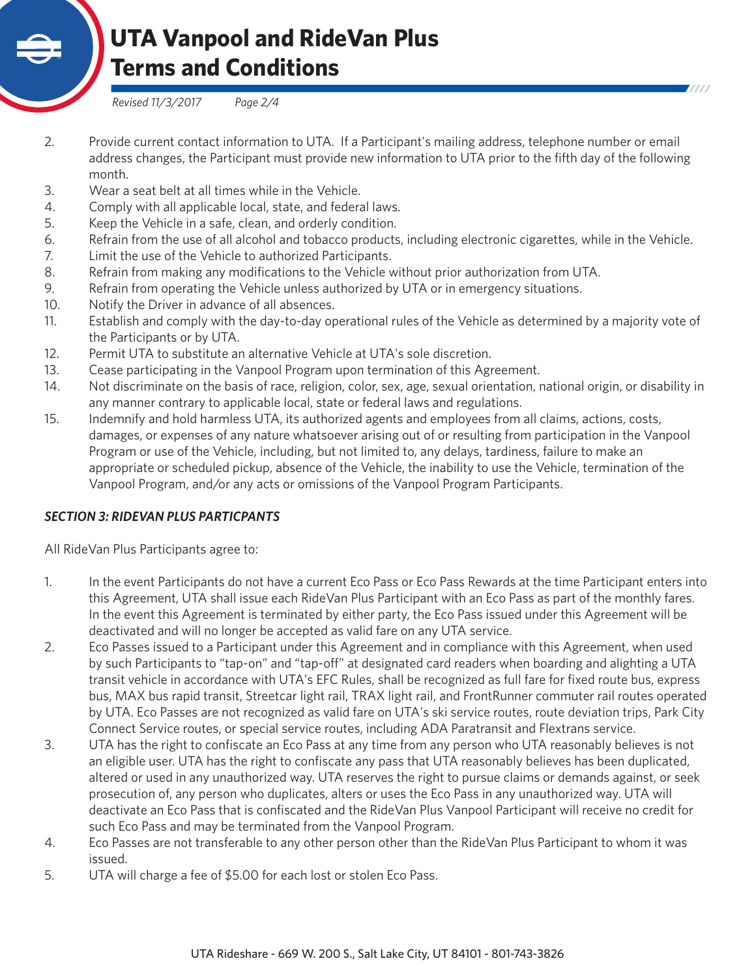

*Revised 11/3/2017 Page 2/4*

- 2. Provide current contact information to UTA. If a Participant's mailing address, telephone number or email address changes, the Participant must provide new information to UTA prior to the fifth day of the following month.
- 3. Wear a seat belt at all times while in the Vehicle.
- 4. Comply with all applicable local, state, and federal laws.
- 5. Keep the Vehicle in a safe, clean, and orderly condition.
- 6. Refrain from the use of all alcohol and tobacco products, including electronic cigarettes, while in the Vehicle.
- 7. Limit the use of the Vehicle to authorized Participants.
- 8. Refrain from making any modifications to the Vehicle without prior authorization from UTA.
- 9. Refrain from operating the Vehicle unless authorized by UTA or in emergency situations.
- 10. Notify the Driver in advance of all absences.
- 11. Establish and comply with the day-to-day operational rules of the Vehicle as determined by a majority vote of the Participants or by UTA.
- 12. Permit UTA to substitute an alternative Vehicle at UTA's sole discretion.
- 13. Cease participating in the Vanpool Program upon termination of this Agreement.
- 14. Not discriminate on the basis of race, religion, color, sex, age, sexual orientation, national origin, or disability in any manner contrary to applicable local, state or federal laws and regulations.
- 15. Indemnify and hold harmless UTA, its authorized agents and employees from all claims, actions, costs, damages, or expenses of any nature whatsoever arising out of or resulting from participation in the Vanpool Program or use of the Vehicle, including, but not limited to, any delays, tardiness, failure to make an appropriate or scheduled pickup, absence of the Vehicle, the inability to use the Vehicle, termination of the Vanpool Program, and/or any acts or omissions of the Vanpool Program Participants.

### *SECTION 3: RIDEVAN PLUS PARTICPANTS*

All RideVan Plus Participants agree to:

- 1. In the event Participants do not have a current Eco Pass or Eco Pass Rewards at the time Participant enters into this Agreement, UTA shall issue each RideVan Plus Participant with an Eco Pass as part of the monthly fares. In the event this Agreement is terminated by either party, the Eco Pass issued under this Agreement will be deactivated and will no longer be accepted as valid fare on any UTA service.
- 2. Eco Passes issued to a Participant under this Agreement and in compliance with this Agreement, when used by such Participants to "tap-on" and "tap-off" at designated card readers when boarding and alighting a UTA transit vehicle in accordance with UTA's EFC Rules, shall be recognized as full fare for fixed route bus, express bus, MAX bus rapid transit, Streetcar light rail, TRAX light rail, and FrontRunner commuter rail routes operated by UTA. Eco Passes are not recognized as valid fare on UTA's ski service routes, route deviation trips, Park City Connect Service routes, or special service routes, including ADA Paratransit and Flextrans service.
- 3. UTA has the right to confiscate an Eco Pass at any time from any person who UTA reasonably believes is not an eligible user. UTA has the right to confiscate any pass that UTA reasonably believes has been duplicated, altered or used in any unauthorized way. UTA reserves the right to pursue claims or demands against, or seek prosecution of, any person who duplicates, alters or uses the Eco Pass in any unauthorized way. UTA will deactivate an Eco Pass that is confiscated and the RideVan Plus Vanpool Participant will receive no credit for such Eco Pass and may be terminated from the Vanpool Program.
- 4. Eco Passes are not transferable to any other person other than the RideVan Plus Participant to whom it was issued.
- 5. UTA will charge a fee of \$5.00 for each lost or stolen Eco Pass.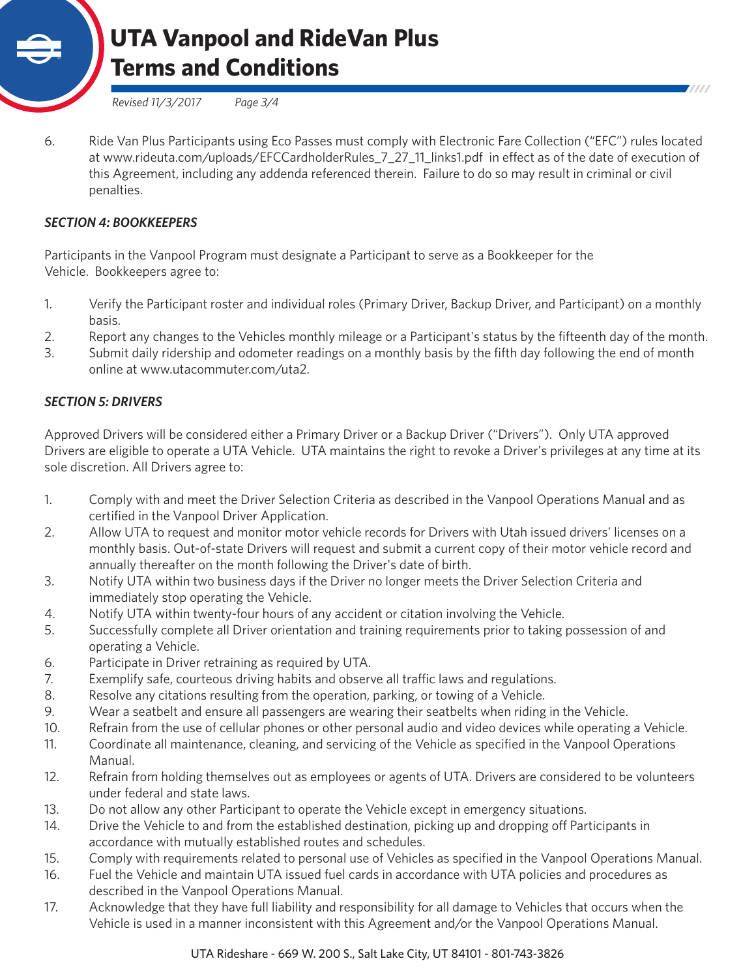

*Revised 11/3/2017 Page 3/4*

6. Ride Van Plus Participants using Eco Passes must comply with Electronic Fare Collection ("EFC") rules located at www.rideuta.com/uploads/EFCCardholderRules\_7\_27\_11\_links1.pdf in effect as of the date of execution of this Agreement, including any addenda referenced therein. Failure to do so may result in criminal or civil penalties.

#### *SECTION 4: BOOKKEEPERS*

Participants in the Vanpool Program must designate a Participant to serve as a Bookkeeper for the Vehicle. Bookkeepers agree to:

- 1. Verify the Participant roster and individual roles (Primary Driver, Backup Driver, and Participant) on a monthly basis.
- 2. Report any changes to the Vehicles monthly mileage or a Participant's status by the fifteenth day of the month.
- 3. Submit daily ridership and odometer readings on a monthly basis by the fifth day following the end of month online at www.utacommuter.com/uta2.

### *SECTION 5: DRIVERS*

Approved Drivers will be considered either a Primary Driver or a Backup Driver ("Drivers"). Only UTA approved Drivers are eligible to operate a UTA Vehicle. UTA maintains the right to revoke a Driver's privileges at any time at its sole discretion. All Drivers agree to:

- 1. Comply with and meet the Driver Selection Criteria as described in the Vanpool Operations Manual and as certified in the Vanpool Driver Application.
- 2. Allow UTA to request and monitor motor vehicle records for Drivers with Utah issued drivers' licenses on a monthly basis. Out-of-state Drivers will request and submit a current copy of their motor vehicle record and annually thereafter on the month following the Driver's date of birth.
- 3. Notify UTA within two business days if the Driver no longer meets the Driver Selection Criteria and immediately stop operating the Vehicle.
- 4. Notify UTA within twenty-four hours of any accident or citation involving the Vehicle.
- 5. Successfully complete all Driver orientation and training requirements prior to taking possession of and operating a Vehicle.
- 6. Participate in Driver retraining as required by UTA.
- 7. Exemplify safe, courteous driving habits and observe all traffic laws and regulations.
- 8. Resolve any citations resulting from the operation, parking, or towing of a Vehicle.
- 9. Wear a seatbelt and ensure all passengers are wearing their seatbelts when riding in the Vehicle.
- 10. Refrain from the use of cellular phones or other personal audio and video devices while operating a Vehicle.
- 11. Coordinate all maintenance, cleaning, and servicing of the Vehicle as specified in the Vanpool Operations Manual.
- 12. Refrain from holding themselves out as employees or agents of UTA. Drivers are considered to be volunteers under federal and state laws.
- 13. Do not allow any other Participant to operate the Vehicle except in emergency situations.
- 14. Drive the Vehicle to and from the established destination, picking up and dropping off Participants in accordance with mutually established routes and schedules.
- 15. Comply with requirements related to personal use of Vehicles as specified in the Vanpool Operations Manual.
- 16. Fuel the Vehicle and maintain UTA issued fuel cards in accordance with UTA policies and procedures as described in the Vanpool Operations Manual.
- 17. Acknowledge that they have full liability and responsibility for all damage to Vehicles that occurs when the Vehicle is used in a manner inconsistent with this Agreement and/or the Vanpool Operations Manual.